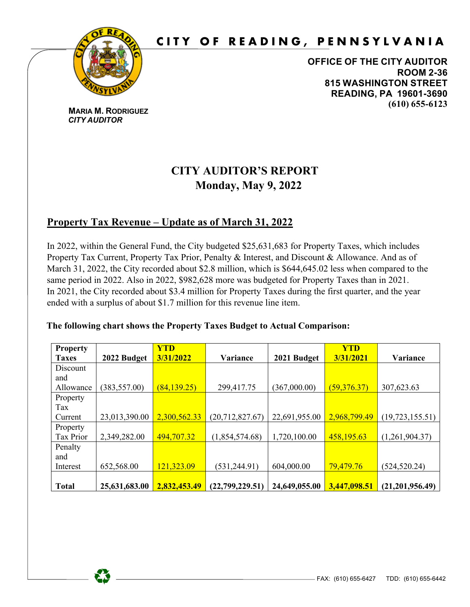

# **CITY OF READING, PENNSYLVANIA**

**OFFICE OF THE CITY AUDITOR ROOM 2-36 815 WASHINGTON STREET READING, PA 19601-3690 (610) 655-6123**

**MARIA M. RODRIGUEZ**  *CITY AUDITOR*

## **CITY AUDITOR'S REPORT Monday, May 9, 2022**

### **Property Tax Revenue – Update as of March 31, 2022**

In 2022, within the General Fund, the City budgeted \$25,631,683 for Property Taxes, which includes Property Tax Current, Property Tax Prior, Penalty & Interest, and Discount & Allowance. And as of March 31, 2022, the City recorded about \$2.8 million, which is \$644,645.02 less when compared to the same period in 2022. Also in 2022, \$982,628 more was budgeted for Property Taxes than in 2021. In 2021, the City recorded about \$3.4 million for Property Taxes during the first quarter, and the year ended with a surplus of about \$1.7 million for this revenue line item.

#### **The following chart shows the Property Taxes Budget to Actual Comparison:**

| <b>Property</b> |               | <b>YTD</b>   |                   |               | <b>YTD</b>   |                   |
|-----------------|---------------|--------------|-------------------|---------------|--------------|-------------------|
| <b>Taxes</b>    | 2022 Budget   | 3/31/2022    | Variance          | 2021 Budget   | 3/31/2021    | Variance          |
| Discount        |               |              |                   |               |              |                   |
| and             |               |              |                   |               |              |                   |
| Allowance       | (383, 557.00) | (84, 139.25) | 299,417.75        | (367,000.00)  | (59,376.37)  | 307,623.63        |
| Property        |               |              |                   |               |              |                   |
| Tax             |               |              |                   |               |              |                   |
| Current         | 23,013,390.00 | 2,300,562.33 | (20, 712, 827.67) | 22,691,955.00 | 2,968,799.49 | (19, 723, 155.51) |
| Property        |               |              |                   |               |              |                   |
| Tax Prior       | 2,349,282.00  | 494,707.32   | (1,854,574.68)    | 1,720,100.00  | 458,195.63   | (1,261,904.37)    |
| Penalty         |               |              |                   |               |              |                   |
| and             |               |              |                   |               |              |                   |
| Interest        | 652,568.00    | 121,323.09   | (531, 244.91)     | 604,000.00    | 79,479.76    | (524, 520.24)     |
|                 |               |              |                   |               |              |                   |
| <b>Total</b>    | 25,631,683.00 | 2,832,453.49 | (22,799,229.51)   | 24,649,055.00 | 3,447,098.51 | (21,201,956.49)   |